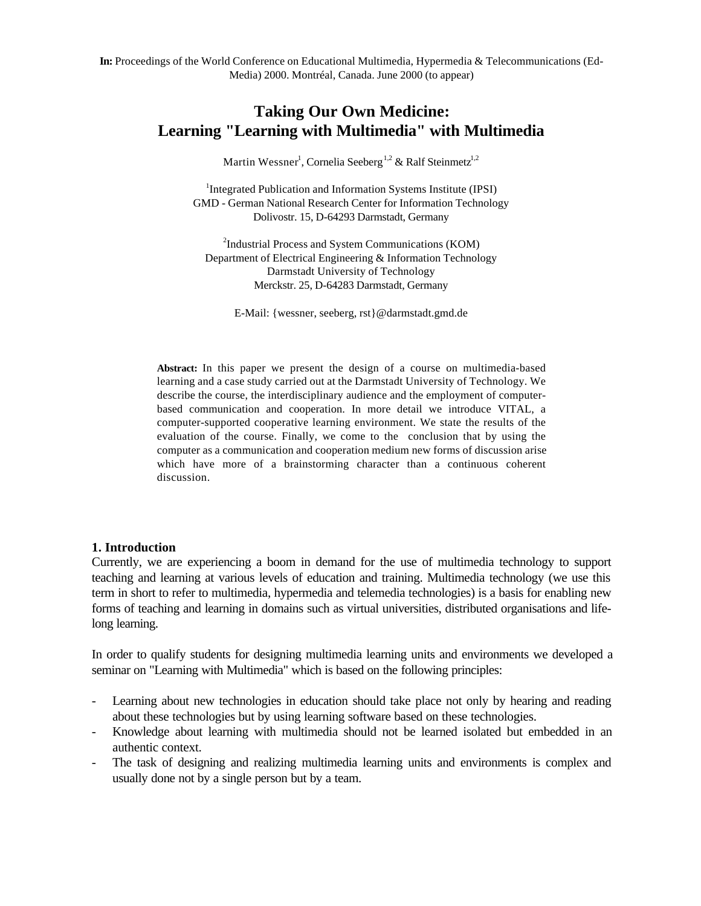**In:** Proceedings of the World Conference on Educational Multimedia, Hypermedia & Telecommunications (Ed-Media) 2000. Montréal, Canada. June 2000 (to appear)

# **Taking Our Own Medicine: Learning "Learning with Multimedia" with Multimedia**

Martin Wessner<sup>1</sup>, Cornelia Seeberg<sup>1,2</sup> & Ralf Steinmetz<sup>1,2</sup>

<sup>1</sup>Integrated Publication and Information Systems Institute (IPSI) GMD - German National Research Center for Information Technology Dolivostr. 15, D-64293 Darmstadt, Germany

<sup>2</sup>Industrial Process and System Communications (KOM) Department of Electrical Engineering & Information Technology Darmstadt University of Technology Merckstr. 25, D-64283 Darmstadt, Germany

E-Mail: {wessner, seeberg, rst}@darmstadt.gmd.de

**Abstract:** In this paper we present the design of a course on multimedia-based learning and a case study carried out at the Darmstadt University of Technology. We describe the course, the interdisciplinary audience and the employment of computerbased communication and cooperation. In more detail we introduce VITAL, a computer-supported cooperative learning environment. We state the results of the evaluation of the course. Finally, we come to the conclusion that by using the computer as a communication and cooperation medium new forms of discussion arise which have more of a brainstorming character than a continuous coherent discussion.

#### **1. Introduction**

Currently, we are experiencing a boom in demand for the use of multimedia technology to support teaching and learning at various levels of education and training. Multimedia technology (we use this term in short to refer to multimedia, hypermedia and telemedia technologies) is a basis for enabling new forms of teaching and learning in domains such as virtual universities, distributed organisations and lifelong learning.

In order to qualify students for designing multimedia learning units and environments we developed a seminar on "Learning with Multimedia" which is based on the following principles:

- Learning about new technologies in education should take place not only by hearing and reading about these technologies but by using learning software based on these technologies.
- Knowledge about learning with multimedia should not be learned isolated but embedded in an authentic context.
- The task of designing and realizing multimedia learning units and environments is complex and usually done not by a single person but by a team.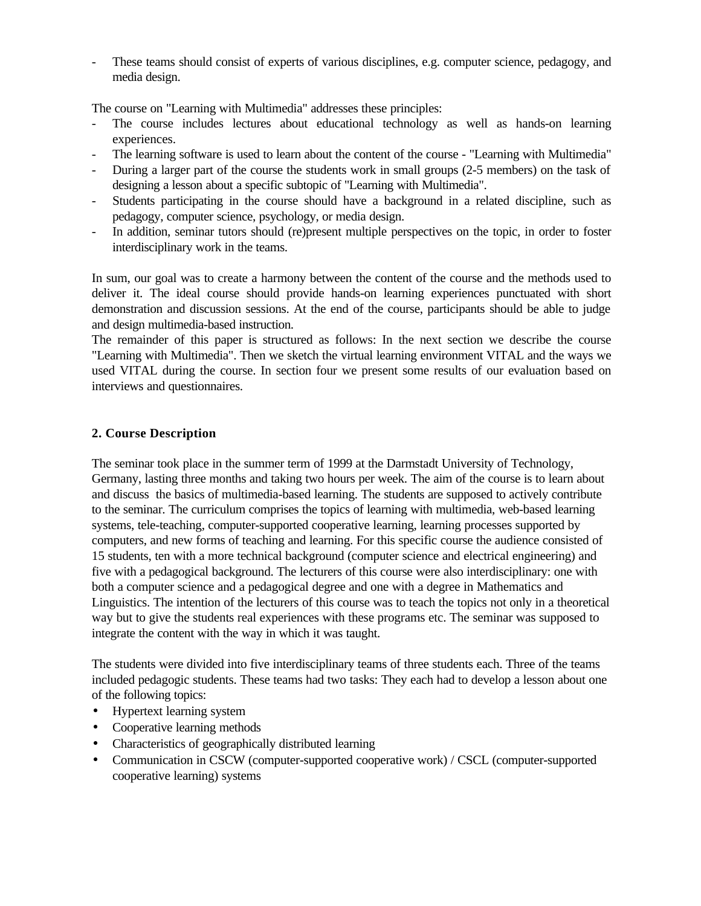These teams should consist of experts of various disciplines, e.g. computer science, pedagogy, and media design.

The course on "Learning with Multimedia" addresses these principles:

- The course includes lectures about educational technology as well as hands-on learning experiences.
- The learning software is used to learn about the content of the course "Learning with Multimedia"
- During a larger part of the course the students work in small groups (2-5 members) on the task of designing a lesson about a specific subtopic of "Learning with Multimedia".
- Students participating in the course should have a background in a related discipline, such as pedagogy, computer science, psychology, or media design.
- In addition, seminar tutors should (re)present multiple perspectives on the topic, in order to foster interdisciplinary work in the teams.

In sum, our goal was to create a harmony between the content of the course and the methods used to deliver it. The ideal course should provide hands-on learning experiences punctuated with short demonstration and discussion sessions. At the end of the course, participants should be able to judge and design multimedia-based instruction.

The remainder of this paper is structured as follows: In the next section we describe the course "Learning with Multimedia". Then we sketch the virtual learning environment VITAL and the ways we used VITAL during the course. In section four we present some results of our evaluation based on interviews and questionnaires.

### **2. Course Description**

The seminar took place in the summer term of 1999 at the Darmstadt University of Technology, Germany, lasting three months and taking two hours per week. The aim of the course is to learn about and discuss the basics of multimedia-based learning. The students are supposed to actively contribute to the seminar. The curriculum comprises the topics of learning with multimedia, web-based learning systems, tele-teaching, computer-supported cooperative learning, learning processes supported by computers, and new forms of teaching and learning. For this specific course the audience consisted of 15 students, ten with a more technical background (computer science and electrical engineering) and five with a pedagogical background. The lecturers of this course were also interdisciplinary: one with both a computer science and a pedagogical degree and one with a degree in Mathematics and Linguistics. The intention of the lecturers of this course was to teach the topics not only in a theoretical way but to give the students real experiences with these programs etc. The seminar was supposed to integrate the content with the way in which it was taught.

The students were divided into five interdisciplinary teams of three students each. Three of the teams included pedagogic students. These teams had two tasks: They each had to develop a lesson about one of the following topics:

- Hypertext learning system
- Cooperative learning methods
- Characteristics of geographically distributed learning
- Communication in CSCW (computer-supported cooperative work) / CSCL (computer-supported cooperative learning) systems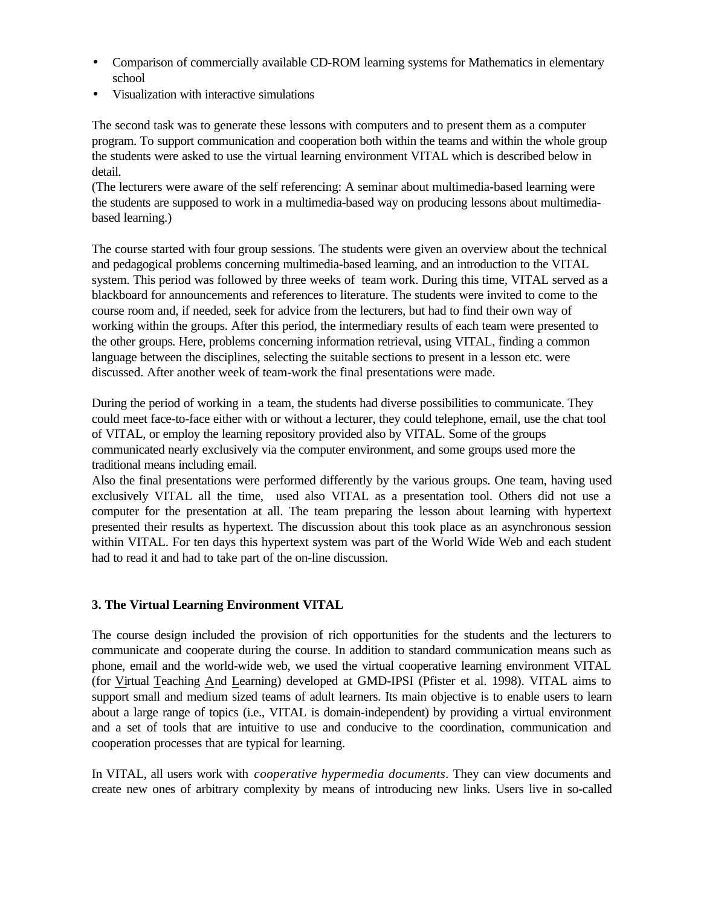- Comparison of commercially available CD-ROM learning systems for Mathematics in elementary school
- Visualization with interactive simulations

The second task was to generate these lessons with computers and to present them as a computer program. To support communication and cooperation both within the teams and within the whole group the students were asked to use the virtual learning environment VITAL which is described below in detail.

(The lecturers were aware of the self referencing: A seminar about multimedia-based learning were the students are supposed to work in a multimedia-based way on producing lessons about multimediabased learning.)

The course started with four group sessions. The students were given an overview about the technical and pedagogical problems concerning multimedia-based learning, and an introduction to the VITAL system. This period was followed by three weeks of team work. During this time, VITAL served as a blackboard for announcements and references to literature. The students were invited to come to the course room and, if needed, seek for advice from the lecturers, but had to find their own way of working within the groups. After this period, the intermediary results of each team were presented to the other groups. Here, problems concerning information retrieval, using VITAL, finding a common language between the disciplines, selecting the suitable sections to present in a lesson etc. were discussed. After another week of team-work the final presentations were made.

During the period of working in a team, the students had diverse possibilities to communicate. They could meet face-to-face either with or without a lecturer, they could telephone, email, use the chat tool of VITAL, or employ the learning repository provided also by VITAL. Some of the groups communicated nearly exclusively via the computer environment, and some groups used more the traditional means including email.

Also the final presentations were performed differently by the various groups. One team, having used exclusively VITAL all the time, used also VITAL as a presentation tool. Others did not use a computer for the presentation at all. The team preparing the lesson about learning with hypertext presented their results as hypertext. The discussion about this took place as an asynchronous session within VITAL. For ten days this hypertext system was part of the World Wide Web and each student had to read it and had to take part of the on-line discussion.

## **3. The Virtual Learning Environment VITAL**

The course design included the provision of rich opportunities for the students and the lecturers to communicate and cooperate during the course. In addition to standard communication means such as phone, email and the world-wide web, we used the virtual cooperative learning environment VITAL (for Virtual Teaching And Learning) developed at GMD-IPSI (Pfister et al. 1998). VITAL aims to support small and medium sized teams of adult learners. Its main objective is to enable users to learn about a large range of topics (i.e., VITAL is domain-independent) by providing a virtual environment and a set of tools that are intuitive to use and conducive to the coordination, communication and cooperation processes that are typical for learning.

In VITAL, all users work with *cooperative hypermedia documents*. They can view documents and create new ones of arbitrary complexity by means of introducing new links. Users live in so-called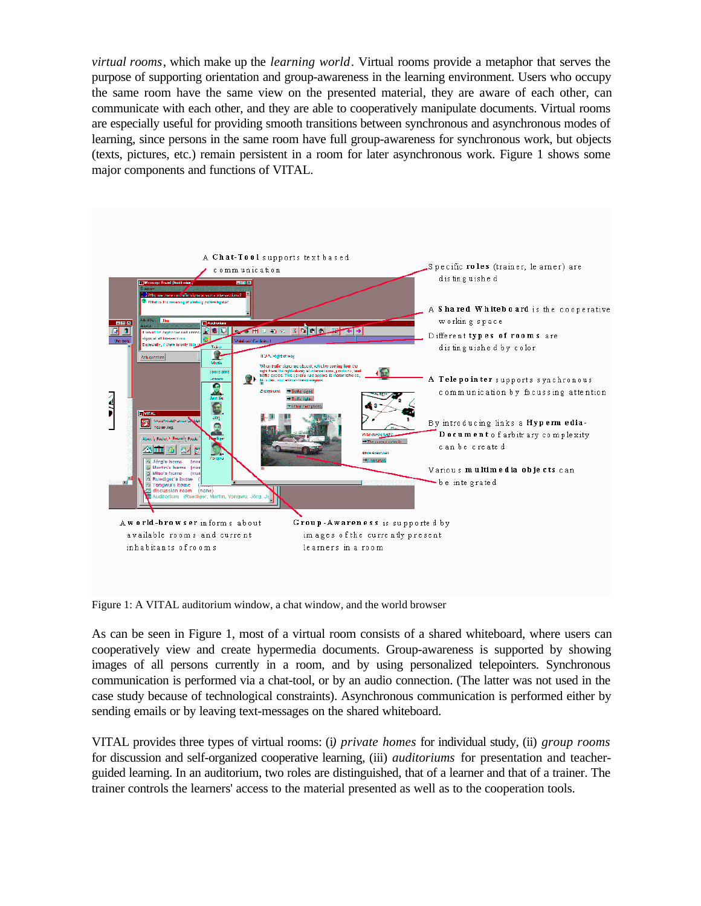*virtual rooms*, which make up the *learning world*. Virtual rooms provide a metaphor that serves the purpose of supporting orientation and group-awareness in the learning environment. Users who occupy the same room have the same view on the presented material, they are aware of each other, can communicate with each other, and they are able to cooperatively manipulate documents. Virtual rooms are especially useful for providing smooth transitions between synchronous and asynchronous modes of learning, since persons in the same room have full group-awareness for synchronous work, but objects (texts, pictures, etc.) remain persistent in a room for later asynchronous work. Figure 1 shows some major components and functions of VITAL.



Figure 1: A VITAL auditorium window, a chat window, and the world browser

As can be seen in Figure 1, most of a virtual room consists of a shared whiteboard, where users can cooperatively view and create hypermedia documents. Group-awareness is supported by showing images of all persons currently in a room, and by using personalized telepointers. Synchronous communication is performed via a chat-tool, or by an audio connection. (The latter was not used in the case study because of technological constraints). Asynchronous communication is performed either by sending emails or by leaving text-messages on the shared whiteboard.

VITAL provides three types of virtual rooms: (i*) private homes* for individual study, (ii) *group rooms* for discussion and self-organized cooperative learning, (iii) *auditoriums* for presentation and teacherguided learning. In an auditorium, two roles are distinguished, that of a learner and that of a trainer. The trainer controls the learners' access to the material presented as well as to the cooperation tools.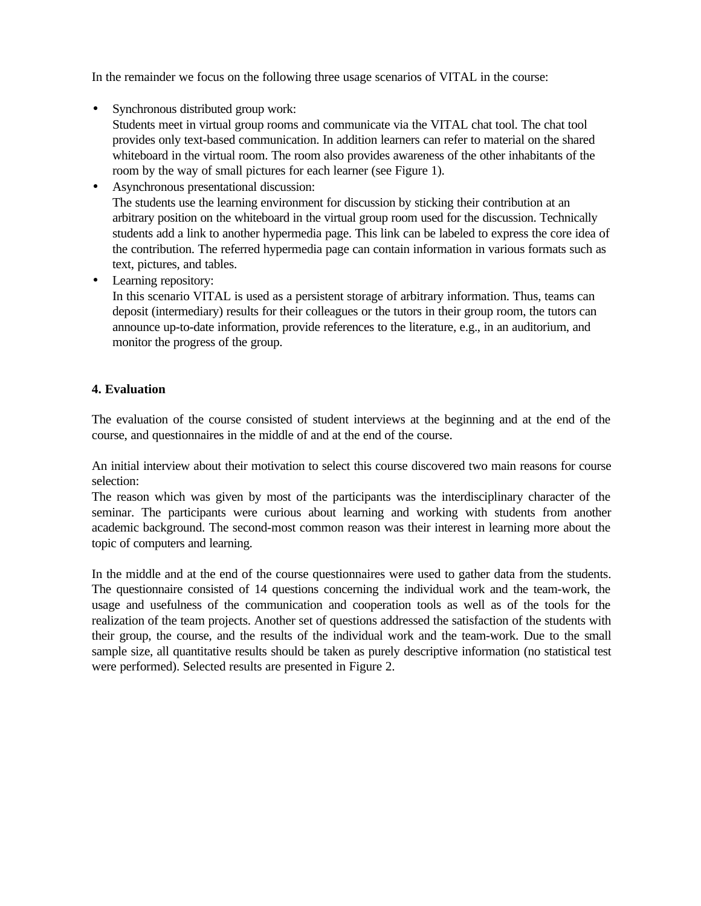In the remainder we focus on the following three usage scenarios of VITAL in the course:

• Synchronous distributed group work:

Students meet in virtual group rooms and communicate via the VITAL chat tool. The chat tool provides only text-based communication. In addition learners can refer to material on the shared whiteboard in the virtual room. The room also provides awareness of the other inhabitants of the room by the way of small pictures for each learner (see Figure 1).

- Asynchronous presentational discussion: The students use the learning environment for discussion by sticking their contribution at an arbitrary position on the whiteboard in the virtual group room used for the discussion. Technically students add a link to another hypermedia page. This link can be labeled to express the core idea of the contribution. The referred hypermedia page can contain information in various formats such as text, pictures, and tables.
- Learning repository:

In this scenario VITAL is used as a persistent storage of arbitrary information. Thus, teams can deposit (intermediary) results for their colleagues or the tutors in their group room, the tutors can announce up-to-date information, provide references to the literature, e.g., in an auditorium, and monitor the progress of the group.

### **4. Evaluation**

The evaluation of the course consisted of student interviews at the beginning and at the end of the course, and questionnaires in the middle of and at the end of the course.

An initial interview about their motivation to select this course discovered two main reasons for course selection:

The reason which was given by most of the participants was the interdisciplinary character of the seminar. The participants were curious about learning and working with students from another academic background. The second-most common reason was their interest in learning more about the topic of computers and learning.

In the middle and at the end of the course questionnaires were used to gather data from the students. The questionnaire consisted of 14 questions concerning the individual work and the team-work, the usage and usefulness of the communication and cooperation tools as well as of the tools for the realization of the team projects. Another set of questions addressed the satisfaction of the students with their group, the course, and the results of the individual work and the team-work. Due to the small sample size, all quantitative results should be taken as purely descriptive information (no statistical test were performed). Selected results are presented in Figure 2.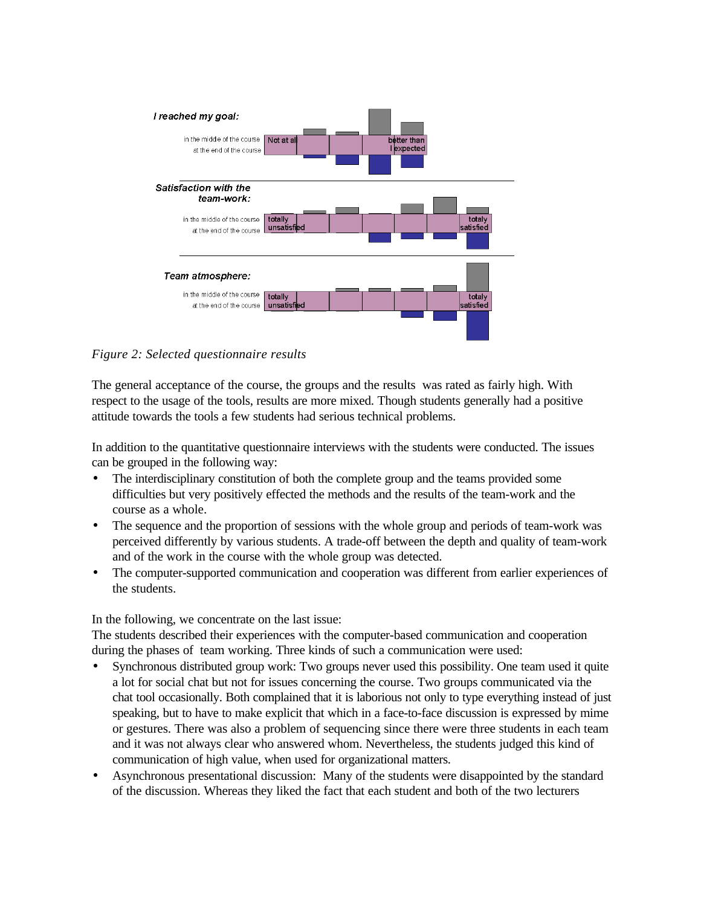

*Figure 2: Selected questionnaire results*

The general acceptance of the course, the groups and the results was rated as fairly high. With respect to the usage of the tools, results are more mixed. Though students generally had a positive attitude towards the tools a few students had serious technical problems.

In addition to the quantitative questionnaire interviews with the students were conducted. The issues can be grouped in the following way:

- The interdisciplinary constitution of both the complete group and the teams provided some difficulties but very positively effected the methods and the results of the team-work and the course as a whole.
- The sequence and the proportion of sessions with the whole group and periods of team-work was perceived differently by various students. A trade-off between the depth and quality of team-work and of the work in the course with the whole group was detected.
- The computer-supported communication and cooperation was different from earlier experiences of the students.

In the following, we concentrate on the last issue:

The students described their experiences with the computer-based communication and cooperation during the phases of team working. Three kinds of such a communication were used:

- Synchronous distributed group work: Two groups never used this possibility. One team used it quite a lot for social chat but not for issues concerning the course. Two groups communicated via the chat tool occasionally. Both complained that it is laborious not only to type everything instead of just speaking, but to have to make explicit that which in a face-to-face discussion is expressed by mime or gestures. There was also a problem of sequencing since there were three students in each team and it was not always clear who answered whom. Nevertheless, the students judged this kind of communication of high value, when used for organizational matters.
- Asynchronous presentational discussion: Many of the students were disappointed by the standard of the discussion. Whereas they liked the fact that each student and both of the two lecturers